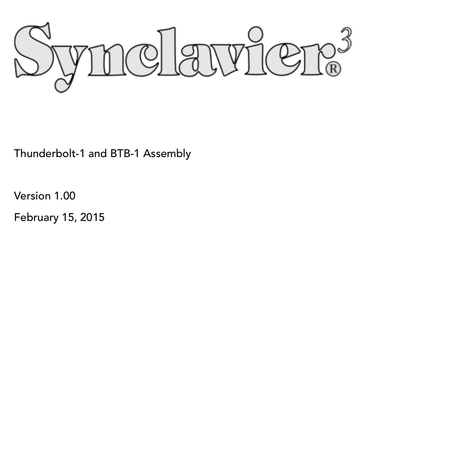yiel  $\mathbb{R}$  $\overline{\mathbb{Q}}$ 

Thunderbolt-1 and BTB-1 Assembly

Version 1.00

February 15, 2015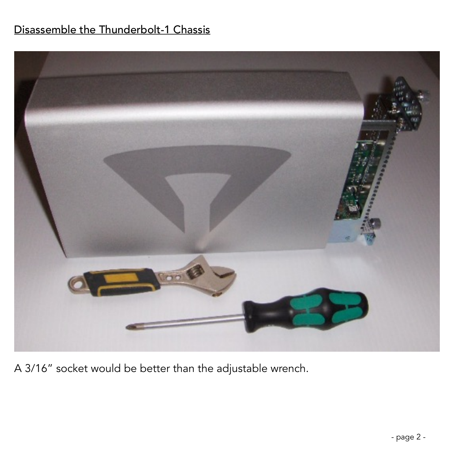## Disassemble the Thunderbolt-1 Chassis



A 3/16" socket would be better than the adjustable wrench.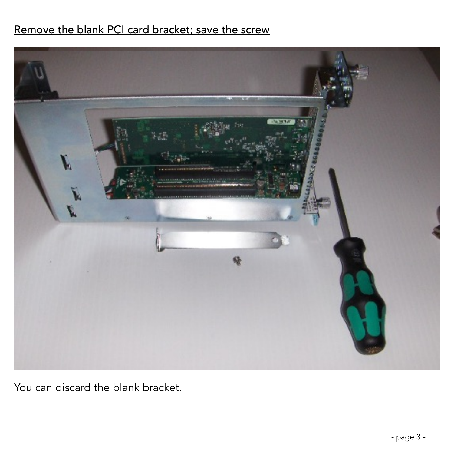## Remove the blank PCI card bracket; save the screw



You can discard the blank bracket.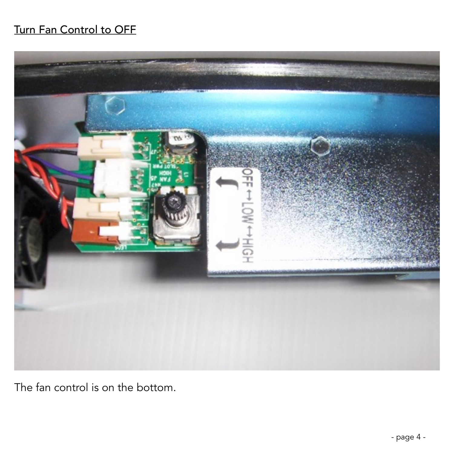## Turn Fan Control to OFF



The fan control is on the bottom.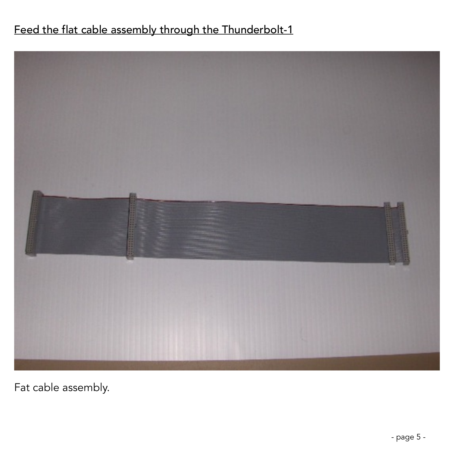# Feed the flat cable assembly through the Thunderbolt-1



Fat cable assembly.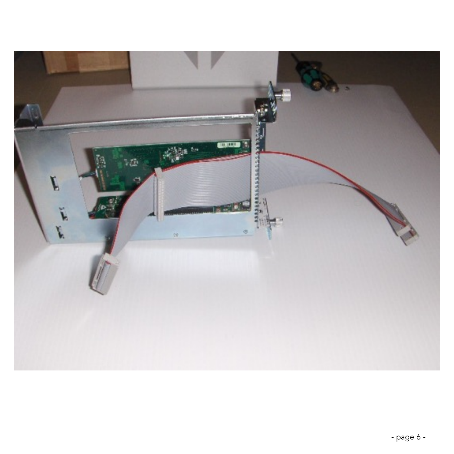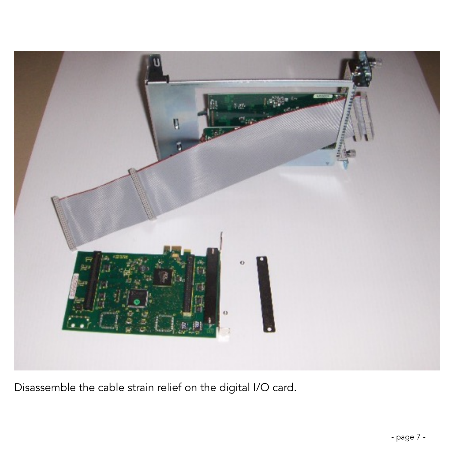

Disassemble the cable strain relief on the digital I/O card.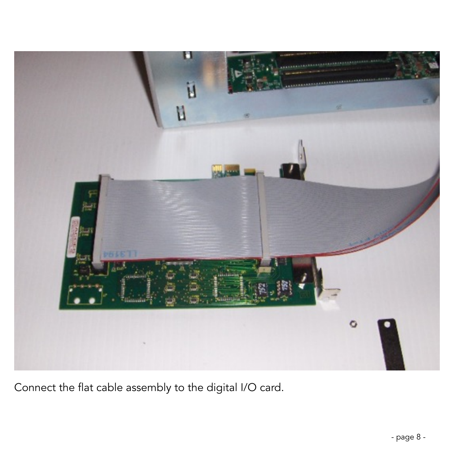

Connect the flat cable assembly to the digital I/O card.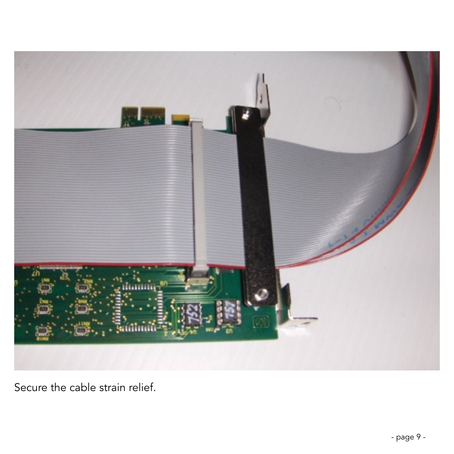

Secure the cable strain relief.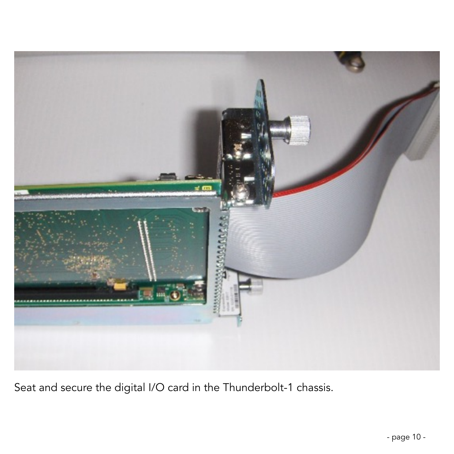

Seat and secure the digital I/O card in the Thunderbolt-1 chassis.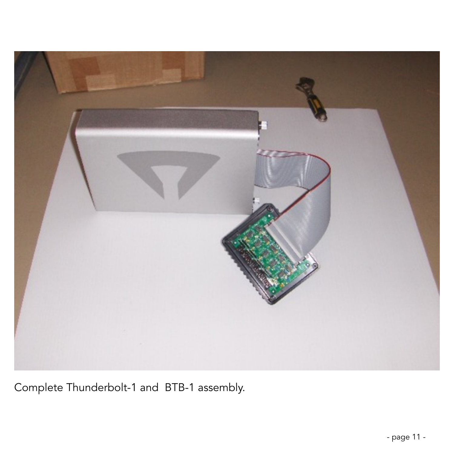

Complete Thunderbolt-1 and BTB-1 assembly.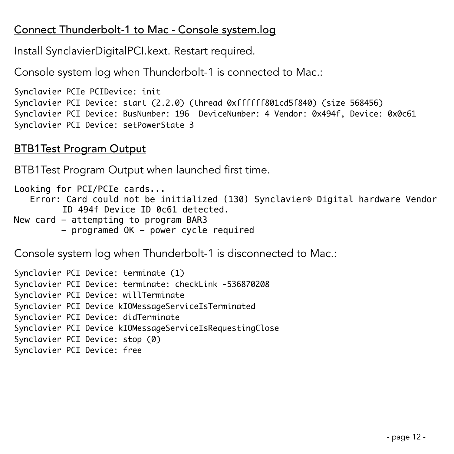#### Connect Thunderbolt-1 to Mac - Console system.log

Install SynclavierDigitalPCI.kext. Restart required.

Console system log when Thunderbolt-1 is connected to Mac.:

```
Synclavier PCIe PCIDevice: init
Synclavier PCI Device: start (2.2.0) (thread 0xffffff801cd5f840) (size 568456)
Synclavier PCI Device: BusNumber: 196 DeviceNumber: 4 Vendor: 0x494f, Device: 0x0c61
Synclavier PCI Device: setPowerState 3
```
### **BTB1Test Program Output**

BTB1Test Program Output when launched first time.

```
Looking for PCI/PCIe cards... 
    Error: Card could not be initialized (130) Synclavier® Digital hardware Vendor 
          ID 494f Device ID 0c61 detected. 
New card - attempting to program BAR3
          - programed OK - power cycle required
```
Console system log when Thunderbolt-1 is disconnected to Mac.:

Synclavier PCI Device: terminate (1) Synclavier PCI Device: terminate: checkLink -536870208 Synclavier PCI Device: willTerminate Synclavier PCI Device kIOMessageServiceIsTerminated Synclavier PCI Device: didTerminate Synclavier PCI Device kIOMessageServiceIsRequestingClose Synclavier PCI Device: stop (0) Synclavier PCI Device: free